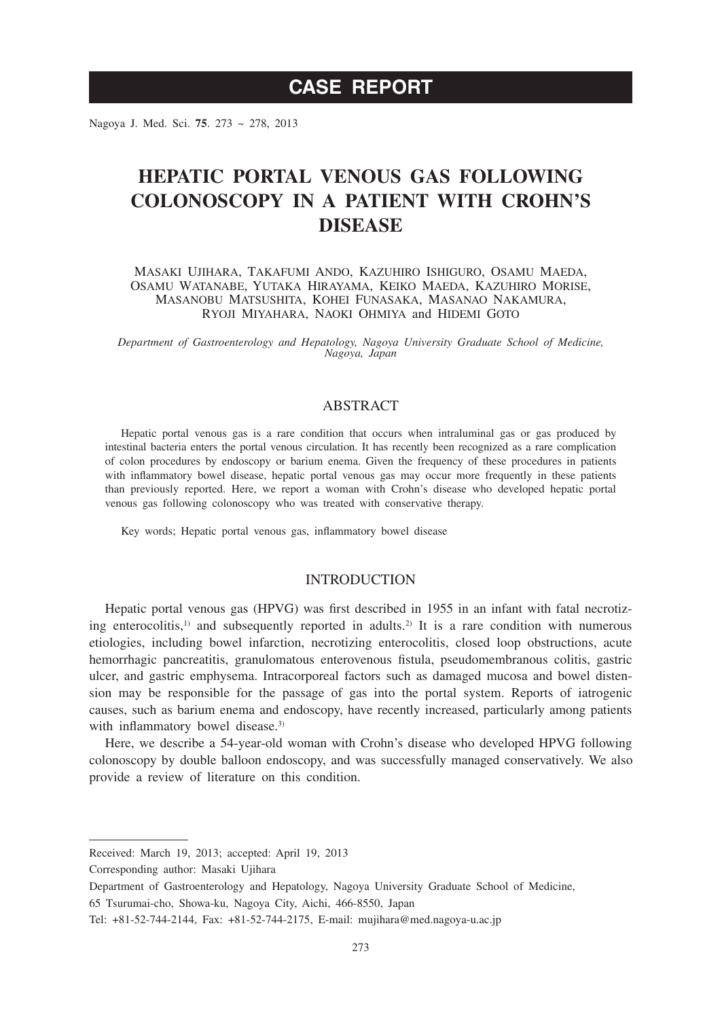# **CASE REPORT**

Nagoya J. Med. Sci. **75**. 273 ~ 278, 2013

# **HEPATIC PORTAL VENOUS GAS FOLLOWING COLONOSCOPY IN A PATIENT WITH CROHN'S DISEASE**

Masaki Ujihara, Takafumi Ando, Kazuhiro Ishiguro, Osamu Maeda, Osamu Watanabe, Yutaka Hirayama, Keiko Maeda, Kazuhiro Morise, Masanobu Matsushita, Kohei Funasaka, Masanao Nakamura, Ryoji Miyahara, Naoki Ohmiya and Hidemi Goto

*Department of Gastroenterology and Hepatology, Nagoya University Graduate School of Medicine, Nagoya, Japan*

### ABSTRACT

Hepatic portal venous gas is a rare condition that occurs when intraluminal gas or gas produced by intestinal bacteria enters the portal venous circulation. It has recently been recognized as a rare complication of colon procedures by endoscopy or barium enema. Given the frequency of these procedures in patients with inflammatory bowel disease, hepatic portal venous gas may occur more frequently in these patients than previously reported. Here, we report a woman with Crohn's disease who developed hepatic portal venous gas following colonoscopy who was treated with conservative therapy.

Key words; Hepatic portal venous gas, inflammatory bowel disease

#### INTRODUCTION

Hepatic portal venous gas (HPVG) was first described in 1955 in an infant with fatal necrotizing enterocolitis,<sup>1)</sup> and subsequently reported in adults.<sup>2)</sup> It is a rare condition with numerous etiologies, including bowel infarction, necrotizing enterocolitis, closed loop obstructions, acute hemorrhagic pancreatitis, granulomatous enterovenous fistula, pseudomembranous colitis, gastric ulcer, and gastric emphysema. Intracorporeal factors such as damaged mucosa and bowel distension may be responsible for the passage of gas into the portal system. Reports of iatrogenic causes, such as barium enema and endoscopy, have recently increased, particularly among patients with inflammatory bowel disease.<sup>3)</sup>

Here, we describe a 54-year-old woman with Crohn's disease who developed HPVG following colonoscopy by double balloon endoscopy, and was successfully managed conservatively. We also provide a review of literature on this condition.

Received: March 19, 2013; accepted: April 19, 2013

Corresponding author: Masaki Ujihara

Department of Gastroenterology and Hepatology, Nagoya University Graduate School of Medicine,

<sup>65</sup> Tsurumai-cho, Showa-ku, Nagoya City, Aichi, 466-8550, Japan

Tel: +81-52-744-2144, Fax: +81-52-744-2175, E-mail: mujihara@med.nagoya-u.ac.jp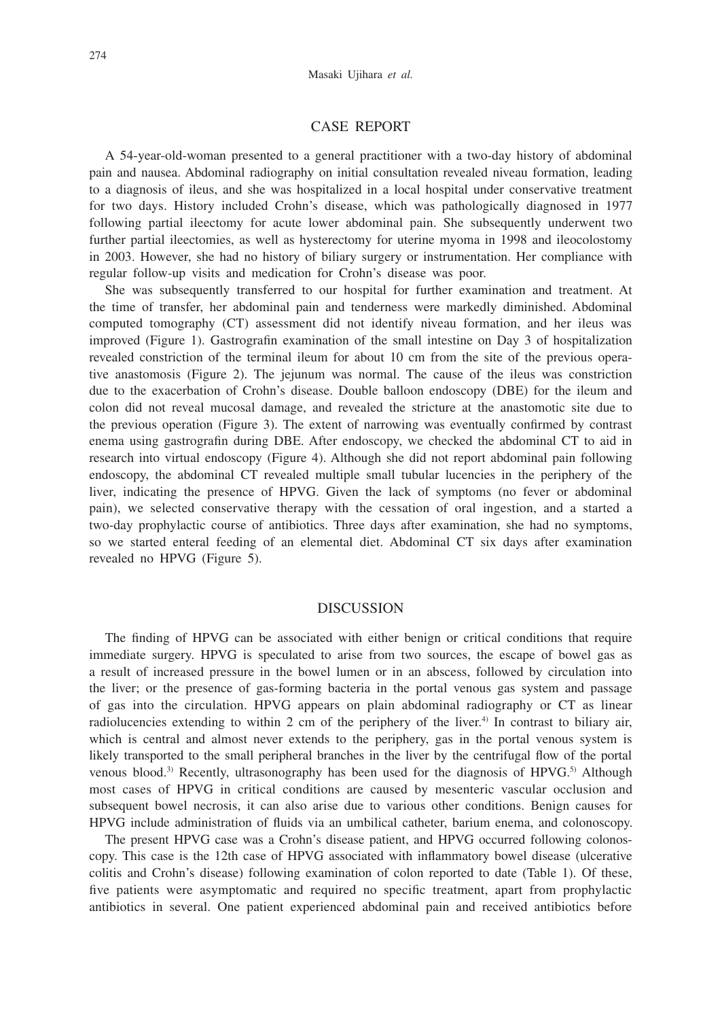#### CASE REPORT

A 54-year-old-woman presented to a general practitioner with a two-day history of abdominal pain and nausea. Abdominal radiography on initial consultation revealed niveau formation, leading to a diagnosis of ileus, and she was hospitalized in a local hospital under conservative treatment for two days. History included Crohn's disease, which was pathologically diagnosed in 1977 following partial ileectomy for acute lower abdominal pain. She subsequently underwent two further partial ileectomies, as well as hysterectomy for uterine myoma in 1998 and ileocolostomy in 2003. However, she had no history of biliary surgery or instrumentation. Her compliance with regular follow-up visits and medication for Crohn's disease was poor.

She was subsequently transferred to our hospital for further examination and treatment. At the time of transfer, her abdominal pain and tenderness were markedly diminished. Abdominal computed tomography (CT) assessment did not identify niveau formation, and her ileus was improved (Figure 1). Gastrografin examination of the small intestine on Day 3 of hospitalization revealed constriction of the terminal ileum for about 10 cm from the site of the previous operative anastomosis (Figure 2). The jejunum was normal. The cause of the ileus was constriction due to the exacerbation of Crohn's disease. Double balloon endoscopy (DBE) for the ileum and colon did not reveal mucosal damage, and revealed the stricture at the anastomotic site due to the previous operation (Figure 3). The extent of narrowing was eventually confirmed by contrast enema using gastrografin during DBE. After endoscopy, we checked the abdominal CT to aid in research into virtual endoscopy (Figure 4). Although she did not report abdominal pain following endoscopy, the abdominal CT revealed multiple small tubular lucencies in the periphery of the liver, indicating the presence of HPVG. Given the lack of symptoms (no fever or abdominal pain), we selected conservative therapy with the cessation of oral ingestion, and a started a two-day prophylactic course of antibiotics. Three days after examination, she had no symptoms, so we started enteral feeding of an elemental diet. Abdominal CT six days after examination revealed no HPVG (Figure 5).

#### DISCUSSION

The finding of HPVG can be associated with either benign or critical conditions that require immediate surgery. HPVG is speculated to arise from two sources, the escape of bowel gas as a result of increased pressure in the bowel lumen or in an abscess, followed by circulation into the liver; or the presence of gas-forming bacteria in the portal venous gas system and passage of gas into the circulation. HPVG appears on plain abdominal radiography or CT as linear radiolucencies extending to within 2 cm of the periphery of the liver.<sup>4)</sup> In contrast to biliary air, which is central and almost never extends to the periphery, gas in the portal venous system is likely transported to the small peripheral branches in the liver by the centrifugal flow of the portal venous blood.<sup>3)</sup> Recently, ultrasonography has been used for the diagnosis of  $HPVG$ .<sup>5)</sup> Although most cases of HPVG in critical conditions are caused by mesenteric vascular occlusion and subsequent bowel necrosis, it can also arise due to various other conditions. Benign causes for HPVG include administration of fluids via an umbilical catheter, barium enema, and colonoscopy.

The present HPVG case was a Crohn's disease patient, and HPVG occurred following colonoscopy. This case is the 12th case of HPVG associated with inflammatory bowel disease (ulcerative colitis and Crohn's disease) following examination of colon reported to date (Table 1). Of these, five patients were asymptomatic and required no specific treatment, apart from prophylactic antibiotics in several. One patient experienced abdominal pain and received antibiotics before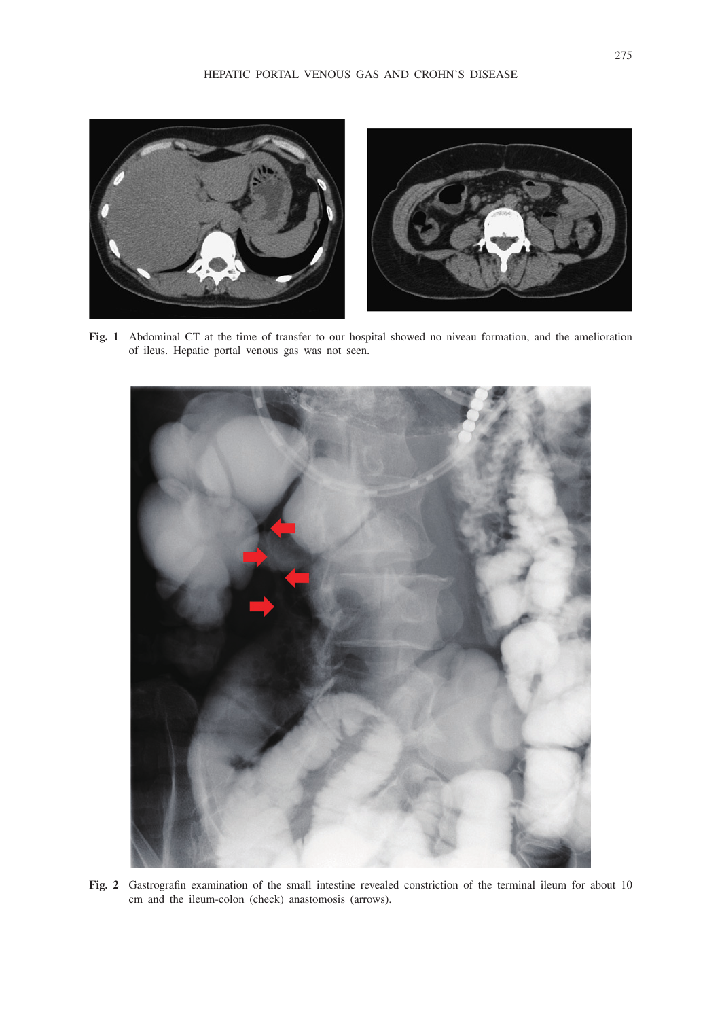

**Fig. 1** Abdominal CT at the time of transfer to our hospital showed no niveau formation, and the amelioration of ileus. Hepatic portal venous gas was not seen.



**Fig. 2** Gastrografin examination of the small intestine revealed constriction of the terminal ileum for about 10 cm and the ileum-colon (check) anastomosis (arrows).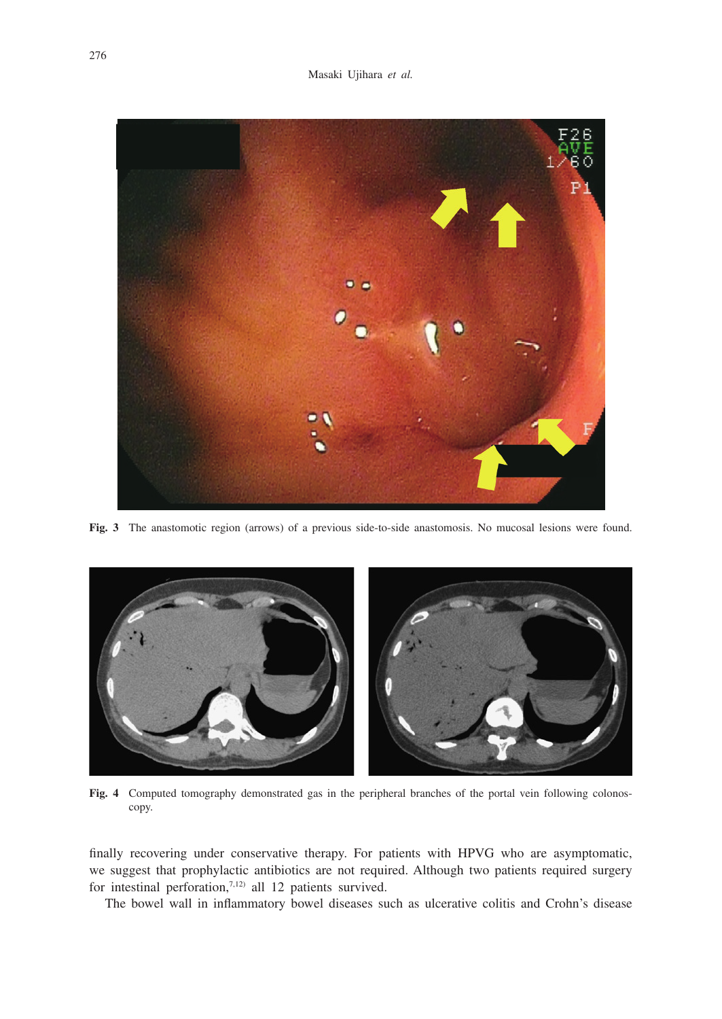

**Fig. 3** The anastomotic region (arrows) of a previous side-to-side anastomosis. No mucosal lesions were found.



**Fig. 4** Computed tomography demonstrated gas in the peripheral branches of the portal vein following colonoscopy.

finally recovering under conservative therapy. For patients with HPVG who are asymptomatic, we suggest that prophylactic antibiotics are not required. Although two patients required surgery for intestinal perforation,7,12) all 12 patients survived.

The bowel wall in inflammatory bowel diseases such as ulcerative colitis and Crohn's disease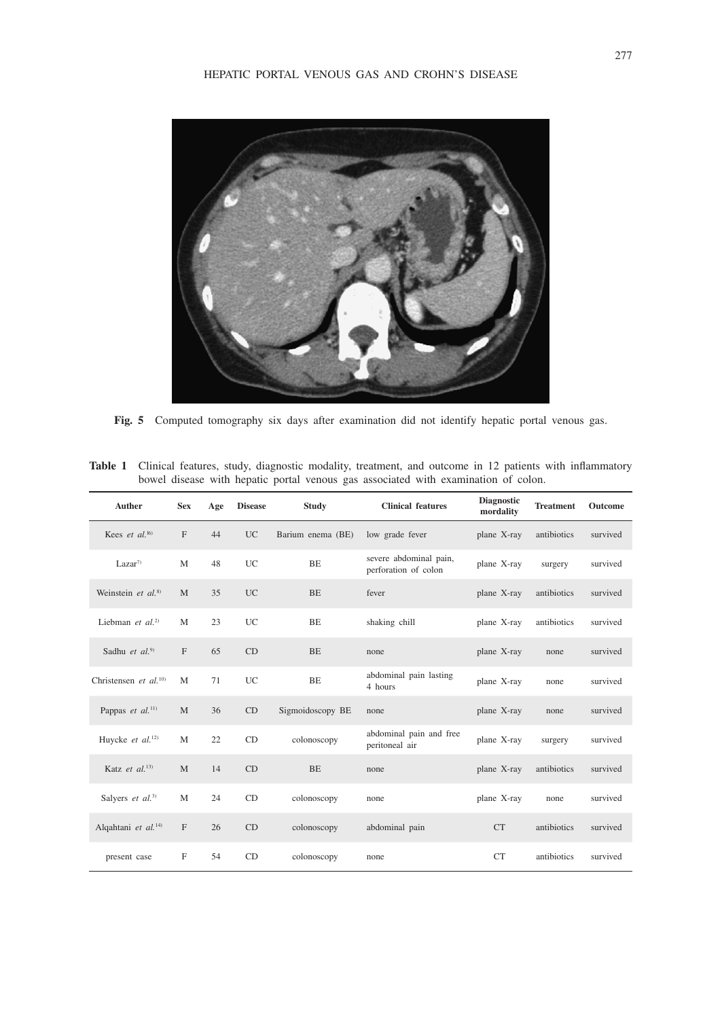

**Fig. 5** Computed tomography six days after examination did not identify hepatic portal venous gas.

| bowel disease with hepatic portal venous gas associated with examination of colon. |              |     |                |                   |                                                |                                |                  |          |
|------------------------------------------------------------------------------------|--------------|-----|----------------|-------------------|------------------------------------------------|--------------------------------|------------------|----------|
| Auther                                                                             | <b>Sex</b>   | Age | <b>Disease</b> | <b>Study</b>      | <b>Clinical features</b>                       | <b>Diagnostic</b><br>mordality | <b>Treatment</b> | Outcome  |
| Kees et al. $^{16)}$                                                               | $\mathbf F$  | 44  | <b>UC</b>      | Barium enema (BE) | low grade fever                                | plane X-ray                    | antibiotics      | survived |
| Lazar <sup>7</sup>                                                                 | M            | 48  | UC             | BE                | severe abdominal pain,<br>perforation of colon | plane X-ray                    | surgery          | survived |
| Weinstein et al. $8$ )                                                             | M            | 35  | <b>UC</b>      | <b>BE</b>         | fever                                          | plane X-ray                    | antibiotics      | survived |
| Liebman et $al$ . <sup>2)</sup>                                                    | M            | 23  | UC             | BE                | shaking chill                                  | plane X-ray                    | antibiotics      | survived |
| Sadhu et $al$ . <sup>9)</sup>                                                      | $\mathbf{F}$ | 65  | CD             | BE                | none                                           | plane X-ray                    | none             | survived |
| Christensen et $al$ . <sup>10)</sup>                                               | M            | 71  | <b>UC</b>      | <b>BE</b>         | abdominal pain lasting<br>4 hours              | plane X-ray                    | none             | survived |
| Pappas et al. <sup>11)</sup>                                                       | M            | 36  | CD             | Sigmoidoscopy BE  | none                                           | plane X-ray                    | none             | survived |
| Huycke et al. <sup>12)</sup>                                                       | M            | 22  | CD             | colonoscopy       | abdominal pain and free<br>peritoneal air      | plane X-ray                    | surgery          | survived |
| Katz et al. <sup>13)</sup>                                                         | M            | 14  | CD             | <b>BE</b>         | none                                           | plane X-ray                    | antibiotics      | survived |

Salyers *et al.*<sup>3)</sup> M 24 CD colonoscopy none plane X-ray none survived

Alqahtani *et al.*<sup>14)</sup> F 26 CD colonoscopy abdominal pain CT antibiotics survived

present case F 54 CD colonoscopy none CT antibiotics survived

**Table 1** Clinical features, study, diagnostic modality, treatment, and outcome in 12 patients with inflammatory bowel disease with hepatic portal venous gas associated with examination of colon.